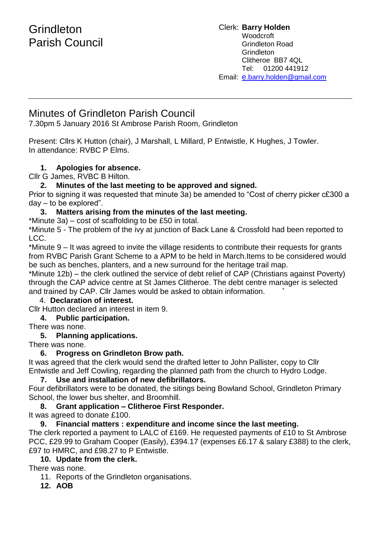# **Grindleton** Parish Council

Clerk: **Barry Holden** Woodcroft Grindleton Road **Grindleton** Clitheroe BB7 4QL Tel: 01200 441912 Email: [e](mailto:edwardbholden@yahoo.co.uk).barry.holden@gmail.com

### Minutes of Grindleton Parish Council

7.30pm 5 January 2016 St Ambrose Parish Room, Grindleton

Present: Cllrs K Hutton (chair), J Marshall, L Millard, P Entwistle, K Hughes, J Towler. In attendance: RVBC P Elms.

### **1. Apologies for absence.**

Cllr G James, RVBC B Hilton.

#### **2. Minutes of the last meeting to be approved and signed.**

Prior to signing it was requested that minute 3a) be amended to "Cost of cherry picker c£300 a day – to be explored".

#### **3. Matters arising from the minutes of the last meeting.**

\*Minute 3a) – cost of scaffolding to be £50 in total.

\*Minute 5 - The problem of the ivy at junction of Back Lane & Crossfold had been reported to LCC.

\*Minute 9 – It was agreed to invite the village residents to contribute their requests for grants from RVBC Parish Grant Scheme to a APM to be held in March.Items to be considered would be such as benches, planters, and a new surround for the heritage trail map.

\*Minute 12b) – the clerk outlined the service of debt relief of CAP (Christians against Poverty) through the CAP advice centre at St James Clitheroe. The debt centre manager is selected and trained by CAP. Cllr James would be asked to obtain information. **`**

### 4. **Declaration of interest.**

Cllr Hutton declared an interest in item 9.

### **4. Public participation.**

There was none.

### **5. Planning applications.**

There was none.

### **6. Progress on Grindleton Brow path.**

It was agreed that the clerk would send the drafted letter to John Pallister, copy to Cllr Entwistle and Jeff Cowling, regarding the planned path from the church to Hydro Lodge.

#### **7. Use and installation of new defibrillators.**

Four defibrillators were to be donated, the sitings being Bowland School, Grindleton Primary School, the lower bus shelter, and Broomhill.

### **8. Grant application – Clitheroe First Responder.**

It was agreed to donate £100.

### **9. Financial matters : expenditure and income since the last meeting.**

The clerk reported a payment to LALC of £169. He requested payments of £10 to St Ambrose PCC, £29.99 to Graham Cooper (Easily), £394.17 (expenses £6.17 & salary £388) to the clerk, £97 to HMRC, and £98.27 to P Entwistle.

### **10. Update from the clerk.**

There was none.

- 11. Reports of the Grindleton organisations.
- **12. AOB**